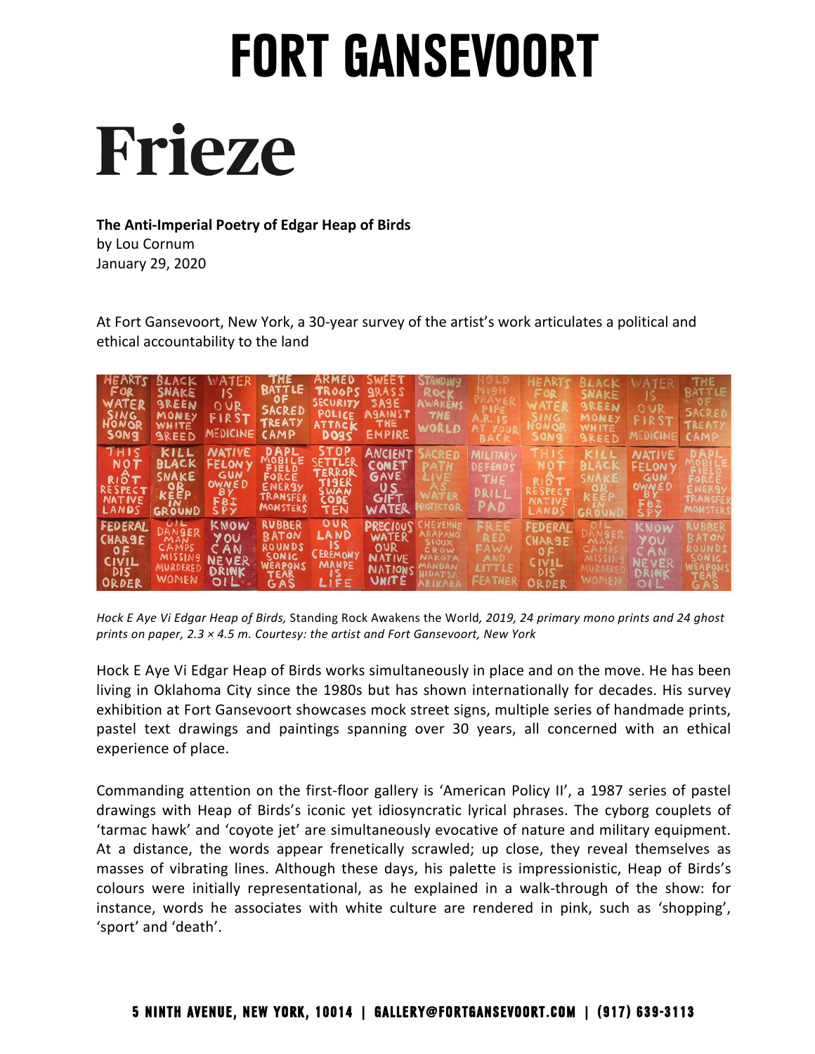# **Frieze**

#### **The Anti-Imperial Poetry of Edgar Heap of Birds**

January 29, 2020 by Lou Cornum

At Fort Gansevoort, New York, a 30-year survey of the artist's work articulates a political and ethical accountability to the land

| <b>HEARTS</b><br>FOR<br>WATER<br><b>SING</b><br>HONOR<br>SONG | BLACK<br>SNAKE<br><b>SREEN</b><br>MONEY<br>WHITE<br><b>SREED</b>             | ATER<br>JS<br>OUR<br>FIRST<br>MEDICINE                                    | THE<br><b>BATTLE</b><br>0 F<br>SACRED<br><b>TREATY</b><br>CAMP             | ARMED<br>TROOPS GRASS<br>SECURITY<br><b>POLICE</b><br><b>ATTACK</b><br>DO <sub>3</sub> S | SWEET<br>SAGE<br>AGAINST<br><b>THE</b><br>EMPIRE                     | <b>STANDING</b><br>ROCK<br>AWAKENS<br>THE<br>WORLD                    |                                            | HEARTS<br>FOR<br>WATEE<br>SING<br>HONOI<br>SONS                 | <b>BLACK</b><br><b>SNAKE</b><br><b>SREEN</b><br>MONEY<br><b>WHITE</b><br><b>SREED</b> | WATER<br>OUR<br>FIRST<br>MEDICINE                                                 | <b>THE</b><br><b>BATTLE</b><br>SACRED<br><b>TREATY</b><br>CAMP                |
|---------------------------------------------------------------|------------------------------------------------------------------------------|---------------------------------------------------------------------------|----------------------------------------------------------------------------|------------------------------------------------------------------------------------------|----------------------------------------------------------------------|-----------------------------------------------------------------------|--------------------------------------------|-----------------------------------------------------------------|---------------------------------------------------------------------------------------|-----------------------------------------------------------------------------------|-------------------------------------------------------------------------------|
| THIS<br>NOT<br>RIÔT<br>RESPECT<br>NATIVE<br>LANDS             | KILL<br><b>BLACK</b><br>SNAKE<br>KEEP<br>GROUND                              | NATIVE<br><b>FELONY</b><br>GUN<br>OWNED<br><b>BY</b><br>FBI<br><b>SPY</b> | DAPL<br>WOBILE<br>FIELD<br>FORCE<br>ENERSY<br>TRANSFER<br>MONSTERS         | STOP<br>SETTLER<br>TERROR<br><b>TISER</b><br>SWAN<br><b>CODE</b><br>TEN                  | <b>ANCIENT</b><br>COMET<br>GAVE<br>US<br>GIFT<br>WATER               | LIVE<br><b>ROTECTOR</b>                                               | MILITARY<br>DEFENDS<br>THE<br>DRILL<br>PAD | <b>RESPECT</b><br><b>NATIVE</b><br>LANDS                        | KILL<br><b>BLACK</b><br>GROUN                                                         | <b>NATIVE</b><br><b>FELONY</b><br><b>GUN</b><br>OWNED<br><b>B</b> )<br>FBI<br>SPY | ENER3Y<br>TRANSFER<br>MONSTERS                                                |
| FEDERAL<br><b>CHARGE</b><br>0F<br>CIVIL<br>DIS<br>ORDER       | $\circ$ 1 L<br>DANGER<br>MAN<br>CAMPS<br>MISSING<br>MURDERED<br><b>WOMEN</b> | KNOW<br>YOU<br>CAN<br><b>NEVER</b><br>DRINK<br>OIL.                       | <b>RUBBER</b><br><b>RATOM</b><br>ROUNDS<br>SONIC<br>WEAPONS<br>TEAR<br>GAS | OUR<br><b>LAND</b><br>IS.<br><b>CEREMONY</b><br><b>MAHPE</b><br>$\sim$<br>LIFE           | PRECIOUS<br>WATER<br>OUR<br><b>NATIVE</b><br>NATIONS<br><b>VNITE</b> | ARAPANO<br><b>SIOUX</b><br>CROW<br><b>NAKGTA</b><br>MANDAN<br>ARIKARA | RED<br>FAWN<br>AND<br>LITTLE<br>FEATHER    | <b>FEDERAL</b><br><b>CHAR9E</b><br>0 F<br>CIVIL<br>dis<br>ORDER | MISSH<br>WOMEN                                                                        | KNOW<br>YOU<br>CAN<br><b>NEVER</b><br>DRINK<br>OLL                                | <b>RUBBER</b><br><b>BATOM</b><br>ROUNDS<br>SONIC,<br>WEAPONS<br>TEAR<br>G A S |

*Hock E Aye Vi Edgar Heap of Birds, S*tanding Rock Awakens the World*, 2019, 24 primary mono prints and 24 ghost prints on paper, 2.3 × 4.5 m. Courtesy: the artist and Fort Gansevoort, New York*

living in Oklahoma City since the 1980s but has shown internationally for decades. His survey exhibition at Fort Gansevoort showcases mock street signs, multiple series of handmade prints, pastel text drawings and paintings spanning over 30 years, all concerned with an ethical Hock E Aye Vi Edgar Heap of Birds works simultaneously in place and on the move. He has been experience of place.

Commanding attention on the first-floor gallery is 'American Policy II', a 1987 series of pastel drawings with Heap of Birds's iconic yet idiosyncratic lyrical phrases. The cyborg couplets of 'tarmac hawk' and 'coyote jet' are simultaneously evocative of nature and military equipment. At a distance, the words appear frenetically scrawled; up close, they reveal themselves as masses of vibrating lines. Although these days, his palette is impressionistic, Heap of Birds's colours were initially representational, as he explained in a walk-through of the show: for instance, words he associates with white culture are rendered in pink, such as 'shopping', 'sport' and 'death'.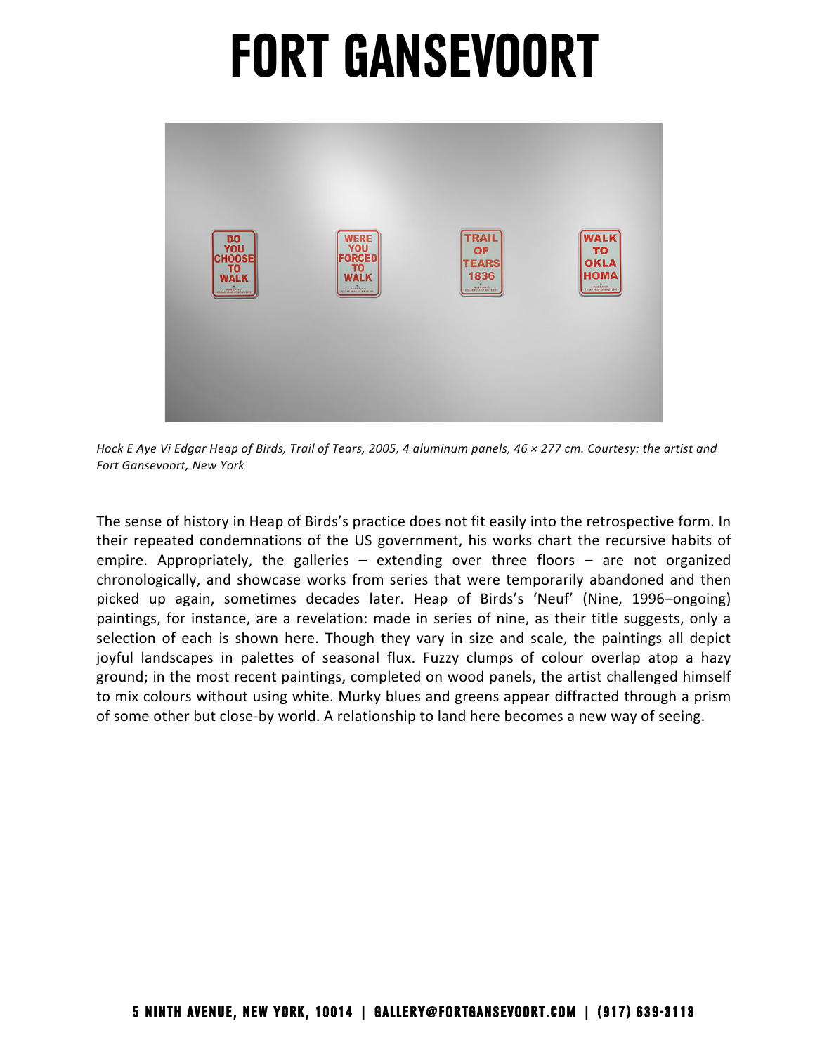

Hock E Aye Vi Edgar Heap of Birds, Trail of Tears, 2005, 4 aluminum panels, 46 × 277 cm. Courtesy: the artist and  *Fort Gansevoort, New York*

The sense of history in Heap of Birds's practice does not fit easily into the retrospective form. In picked up again, sometimes decades later. Heap of Birds's 'Neuf' (Nine, 1996–ongoing) paintings, for instance, are a revelation: made in series of nine, as their title suggests, only a selection of each is shown here. Though they vary in size and scale, the paintings all depict ground; in the most recent paintings, completed on wood panels, the artist challenged himself their repeated condemnations of the US government, his works chart the recursive habits of empire. Appropriately, the galleries – extending over three floors – are not organized chronologically, and showcase works from series that were temporarily abandoned and then joyful landscapes in palettes of seasonal flux. Fuzzy clumps of colour overlap atop a hazy to mix colours without using white. Murky blues and greens appear diffracted through a prism of some other but close-by world. A relationship to land here becomes a new way of seeing.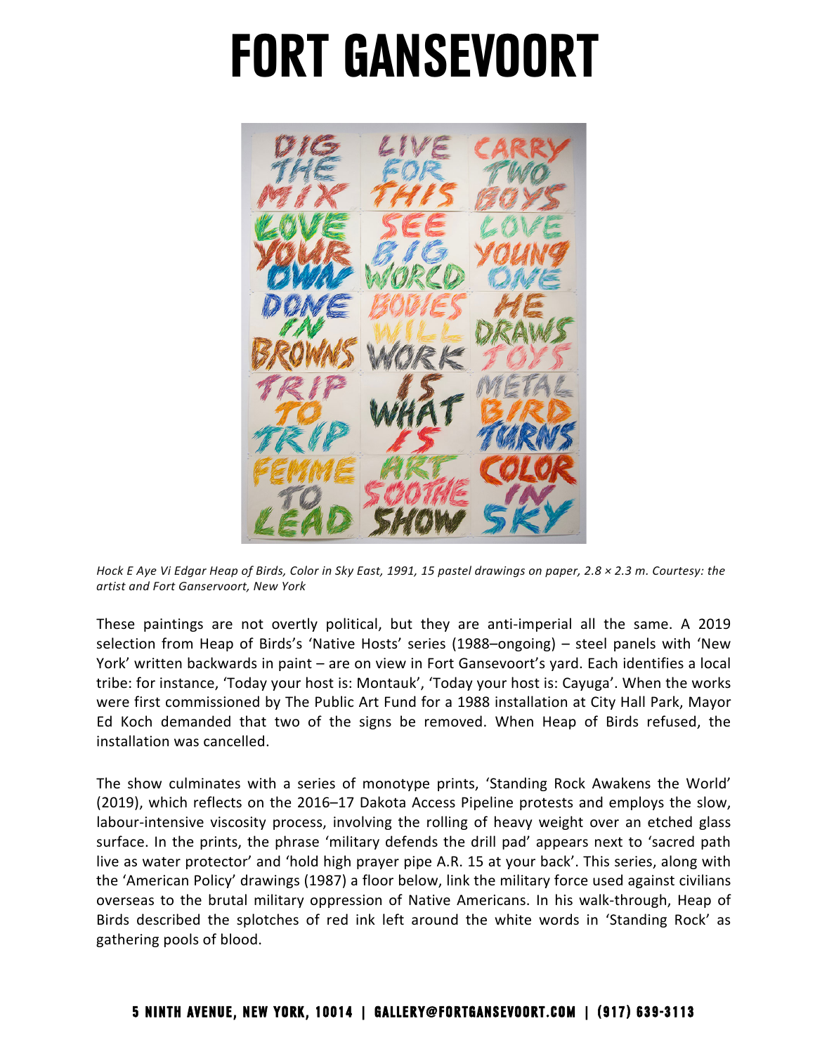

Hock E Aye Vi Edgar Heap of Birds, Color in Sky East, 1991, 15 pastel drawings on paper, 2.8 × 2.3 m. Courtesy: the  *artist and Fort Ganservoort, New York*

These paintings are not overtly political, but they are anti-imperial all the same. A 2019 selection from Heap of Birds's 'Native Hosts' series (1988–ongoing) – steel panels with 'New were first commissioned by The Public Art Fund for a 1988 installation at City Hall Park, Mayor Ed Koch demanded that two of the signs be removed. When Heap of Birds refused, the installation was cancelled. York' written backwards in paint – are on view in Fort Gansevoort's yard. Each identifies a local tribe: for instance, 'Today your host is: Montauk', 'Today your host is: Cayuga'. When the works

The show culminates with a series of monotype prints, 'Standing Rock Awakens the World' labour-intensive viscosity process, involving the rolling of heavy weight over an etched glass surface. In the prints, the phrase 'military defends the drill pad' appears next to 'sacred path live as water protector' and 'hold high prayer pipe A.R. 15 at your back'. This series, along with Birds described the splotches of red ink left around the white words in 'Standing Rock' as gathering pools of blood. (2019), which reflects on the 2016–17 Dakota Access Pipeline protests and employs the slow, the 'American Policy' drawings (1987) a floor below, link the military force used against civilians overseas to the brutal military oppression of Native Americans. In his walk-through, Heap of